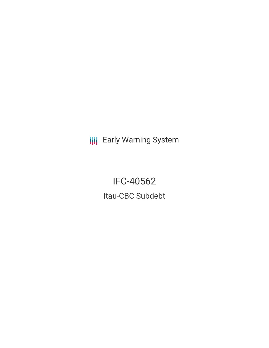**III** Early Warning System

IFC-40562 Itau-CBC Subdebt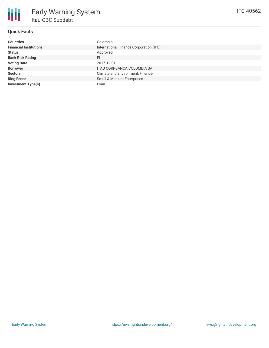

# **Quick Facts**

| <b>Countries</b>              | Colombia                                |
|-------------------------------|-----------------------------------------|
| <b>Financial Institutions</b> | International Finance Corporation (IFC) |
| <b>Status</b>                 | Approved                                |
| <b>Bank Risk Rating</b>       | FI                                      |
| <b>Voting Date</b>            | 2017-12-01                              |
| <b>Borrower</b>               | ITAU CORPBANCA COLOMBIA SA              |
| <b>Sectors</b>                | Climate and Environment, Finance        |
| <b>Ring Fence</b>             | <b>Small &amp; Medium Enterprises</b>   |
| <b>Investment Type(s)</b>     | Loan                                    |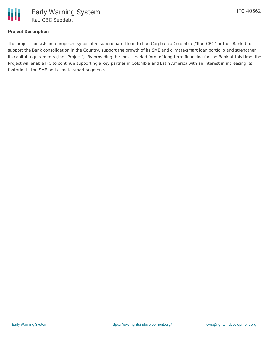

# **Project Description**

The project consists in a proposed syndicated subordinated loan to Itau Corpbanca Colombia ("Itau-CBC" or the "Bank") to support the Bank consolidation in the Country, support the growth of its SME and climate-smart loan portfolio and strengthen its capital requirements (the "Project"). By providing the most needed form of long-term financing for the Bank at this time, the Project will enable IFC to continue supporting a key partner in Colombia and Latin America with an interest in increasing its footprint in the SME and climate-smart segments.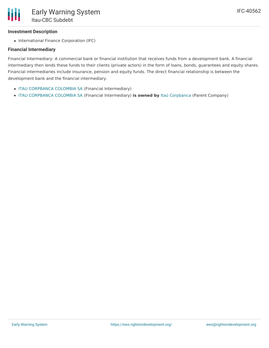# **Investment Description**

• International Finance Corporation (IFC)

### **Financial Intermediary**

Financial Intermediary: A commercial bank or financial institution that receives funds from a development bank. A financial intermediary then lends these funds to their clients (private actors) in the form of loans, bonds, guarantees and equity shares. Financial intermediaries include insurance, pension and equity funds. The direct financial relationship is between the development bank and the financial intermediary.

- ITAU [CORPBANCA](file:///actor/105/) COLOMBIA SA (Financial Intermediary)
- ITAU [CORPBANCA](file:///actor/105/) COLOMBIA SA (Financial Intermediary) **is owned by** Itaú [Corpbanca](file:///actor/3541/) (Parent Company)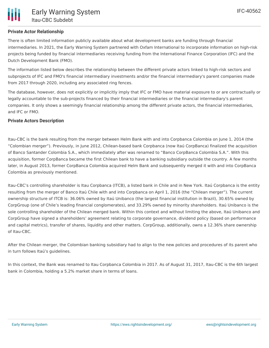There is often limited information publicly available about what development banks are funding through financial intermediaries. In 2021, the Early Warning System partnered with Oxfam International to incorporate information on high-risk projects being funded by financial intermediaries receiving funding from the International Finance Corporation (IFC) and the Dutch Development Bank (FMO).

The information listed below describes the relationship between the different private actors linked to high-risk sectors and subprojects of IFC and FMO's financial intermediary investments and/or the financial intermediary's parent companies made from 2017 through 2020, including any associated ring fences.

The database, however, does not explicitly or implicitly imply that IFC or FMO have material exposure to or are contractually or legally accountable to the sub-projects financed by their financial intermediaries or the financial intermediary's parent companies. It only shows a seemingly financial relationship among the different private actors, the financial intermediaries, and IFC or FMO.

# **Private Actors Description**

Itau-CBC is the bank resulting from the merger between Helm Bank with and into Corpbanca Colombia on June 1, 2014 (the "Colombian merger"). Previously, in June 2012, Chilean-based bank Corpbanca (now Itaú CorpBanca) finalized the acquisition of Banco Santander Colombia S.A., which immediately after was renamed to "Banco CorpBanca Colombia S.A.". With this acquisition, former CorpBanca became the first Chilean bank to have a banking subsidiary outside the country. A few months later, in August 2013, former CorpBanca Colombia acquired Helm Bank and subsequently merged it with and into CorpBanca Colombia as previously mentioned.

Itau-CBC's controlling shareholder is Itau Corpbanca (ITCB), a listed bank in Chile and in New York. Itaú Corpbanca is the entity resulting from the merger of Banco Itaú Chile with and into Corpbanca on April 1, 2016 (the "Chilean merger"). The current ownership structure of ITCB is: 36.06% owned by Itaú Unibanco (the largest financial institution in Brazil), 30.65% owned by CorpGroup (one of Chile's leading financial conglomerates), and 33.29% owned by minority shareholders. Itaú Unibanco is the sole controlling shareholder of the Chilean merged bank. Within this context and without limiting the above, Itaú Unibanco and CorpGroup have signed a shareholders' agreement relating to corporate governance, dividend policy (based on performance and capital metrics), transfer of shares, liquidity and other matters. CorpGroup, additionally, owns a 12.36% share ownership of Itau-CBC.

After the Chilean merger, the Colombian banking subsidiary had to align to the new policies and procedures of its parent who in turn follows Itaú's guidelines.

In this context, the Bank was renamed to Itau Corpbanca Colombia in 2017. As of August 31, 2017, Itau-CBC is the 6th largest bank in Colombia, holding a 5.2% market share in terms of loans.